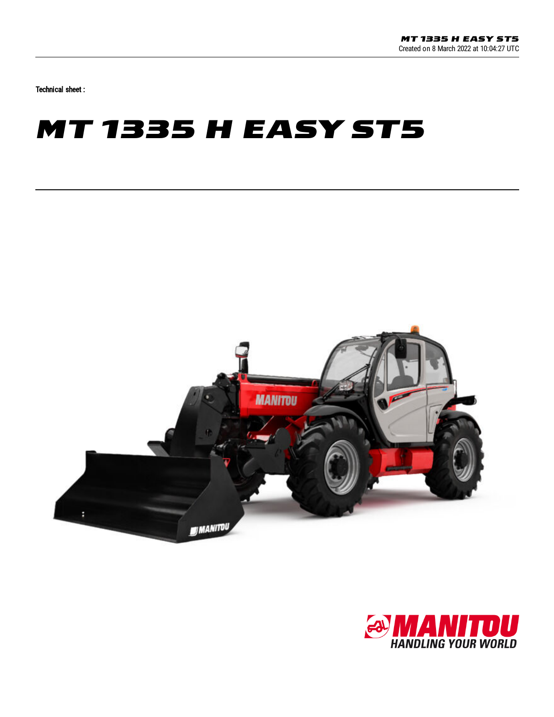Technical sheet :

## **MT 1335 H EASY ST5**



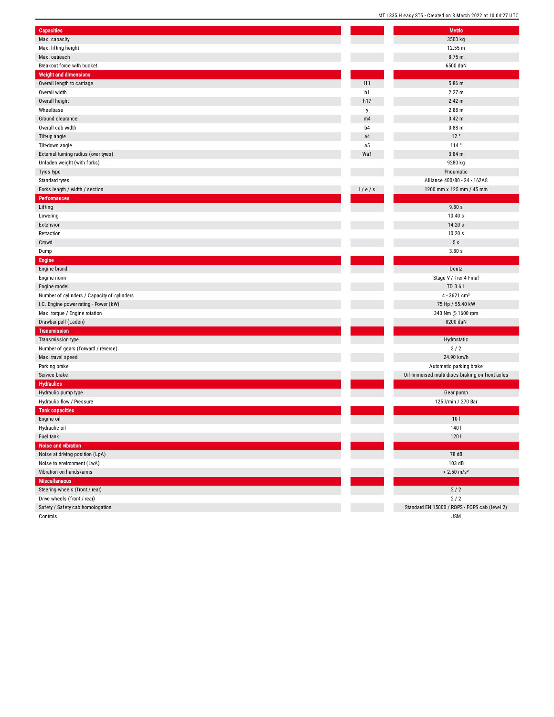|                                             |                | MT 1335 H easy ST5 - Created on 8 March 2022 at 10:04:27 |
|---------------------------------------------|----------------|----------------------------------------------------------|
| <b>Capacities</b>                           |                | <b>Metric</b>                                            |
| Max. capacity                               |                | 3500 kg                                                  |
| Max. lifting height                         |                | 12.55 m                                                  |
| Max. outreach                               |                | 8.75 m                                                   |
| Breakout force with bucket                  |                | 6500 daN                                                 |
| <b>Weight and dimensions</b>                |                |                                                          |
| Overall length to carriage                  | 111            | 5.86 m                                                   |
| Overall width                               | b1             | 2.27 m                                                   |
| Overall height                              | h17            | 2.42 m                                                   |
| Wheelbase                                   | у              | 2.88 m                                                   |
| Ground clearance                            | m4             | 0.42 <sub>m</sub>                                        |
| Overall cab width                           | b <sub>4</sub> | $0.88$ m                                                 |
| Tilt-up angle                               | a4             | 12°                                                      |
| Tilt-down angle                             | a5             | 114°                                                     |
| External turning radius (over tyres)        | Wa1            | $3.84$ m                                                 |
| Unladen weight (with forks)                 |                | 9280 kg                                                  |
| Tyres type                                  |                | Pneumatic                                                |
| Standard tyres                              |                | Alliance 400/80 - 24 - 162A8                             |
| Forks length / width / section              | 1/e/s          | 1200 mm x 125 mm / 45 mm                                 |
| <b>Performances</b>                         |                |                                                          |
| Lifting                                     |                | 9.80s                                                    |
| Lowering                                    |                | 10.40 s                                                  |
| Extension                                   |                | 14.20 s                                                  |
| Retraction                                  |                | 10.20 s                                                  |
| Crowd                                       |                | 5s                                                       |
| Dump                                        |                | 3.80s                                                    |
| <b>Engine</b>                               |                |                                                          |
| Engine brand                                |                | Deutz                                                    |
| Engine norm                                 |                | Stage V / Tier 4 Final                                   |
| Engine model                                |                | TD 3.6 L                                                 |
| Number of cylinders / Capacity of cylinders |                | $4 - 3621$ cm <sup>3</sup>                               |
| I.C. Engine power rating - Power (kW)       |                | 75 Hp / 55.40 kW                                         |
| Max. torque / Engine rotation               |                | 340 Nm @ 1600 rpm                                        |
| Drawbar pull (Laden)                        |                | 8200 daN                                                 |
| <b>Transmission</b>                         |                |                                                          |
| Transmission type                           |                | Hydrostatic                                              |
| Number of gears (forward / reverse)         |                | 3/2                                                      |
| Max. travel speed                           |                | 24.90 km/h                                               |
| Parking brake                               |                | Automatic parking brake                                  |
| Service brake                               |                | Oil-Immersed multi-discs braking on front axles          |
| <b>Hydraulics</b>                           |                |                                                          |
| Hydraulic pump type                         |                | Gear pump                                                |
| Hydraulic flow / Pressure                   |                | 125 l/min / 270 Bar                                      |
| <b>Tank capacities</b>                      |                |                                                          |
| Engine oil                                  |                | 10 <sub>l</sub>                                          |
| Hydraulic oil                               |                | 140                                                      |
| Fuel tank                                   |                | 1201                                                     |
| Noise and vibration                         |                |                                                          |
| Noise at driving position (LpA)             |                | 78 dB                                                    |
| Noise to environment (LwA)                  |                | 103 dB                                                   |
| Vibration on hands/arms                     |                | $< 2.50$ m/s <sup>2</sup>                                |
| <b>Miscellaneous</b>                        |                |                                                          |
| Steering wheels (front / rear)              |                | $2/2$                                                    |
| Drive wheels (front / rear)                 |                | $2/2$                                                    |
| Safety / Safety cab homologation            |                | Standard EN 15000 / ROPS - FOPS cab (level 2)            |
| Controls                                    |                | <b>JSM</b>                                               |

MT 1335 H easy ST5 - Created on 8 March 2022 at 10:04:27 UTC

J S M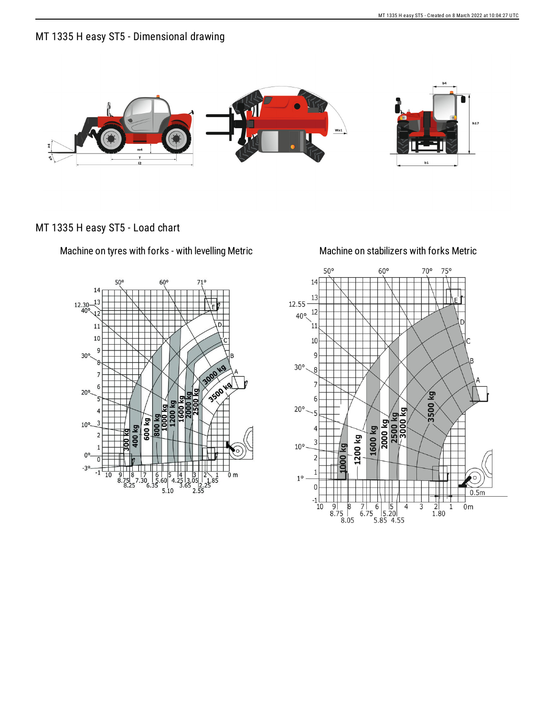## MT 1335 H easy ST5 - Dimensional drawing



## MT 1335 H easy ST5 - Load chart

Machine on tyres with forks - with levelling Metric Machine on stabilizers with forks Metric